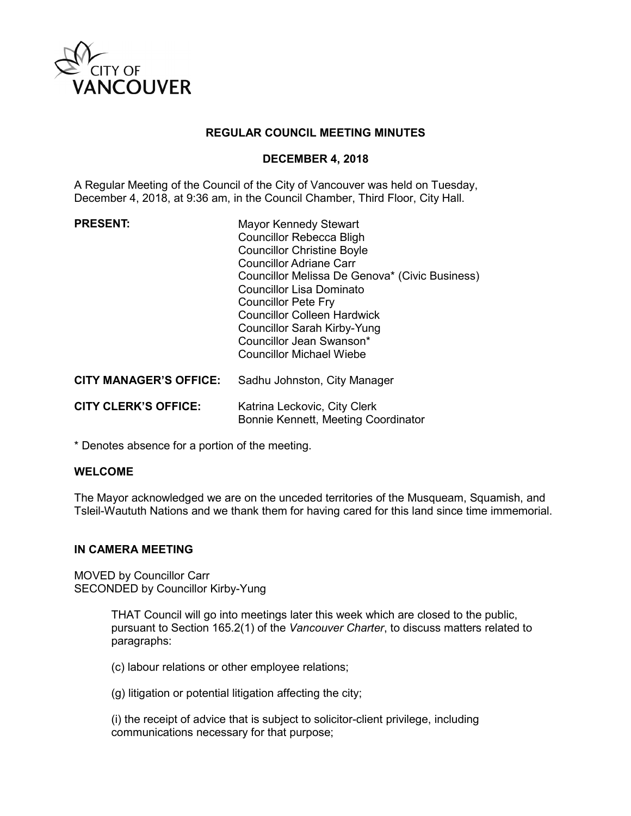

### **REGULAR COUNCIL MEETING MINUTES**

### **DECEMBER 4, 2018**

A Regular Meeting of the Council of the City of Vancouver was held on Tuesday, December 4, 2018, at 9:36 am, in the Council Chamber, Third Floor, City Hall.

| <b>PRESENT:</b>               | <b>Mayor Kennedy Stewart</b><br><b>Councillor Rebecca Bligh</b><br><b>Councillor Christine Boyle</b><br><b>Councillor Adriane Carr</b><br>Councillor Melissa De Genova* (Civic Business)<br>Councillor Lisa Dominato<br><b>Councillor Pete Fry</b><br><b>Councillor Colleen Hardwick</b><br><b>Councillor Sarah Kirby-Yung</b><br>Councillor Jean Swanson*<br>Councillor Michael Wiebe |
|-------------------------------|----------------------------------------------------------------------------------------------------------------------------------------------------------------------------------------------------------------------------------------------------------------------------------------------------------------------------------------------------------------------------------------|
| <b>CITY MANAGER'S OFFICE:</b> | Sadhu Johnston, City Manager                                                                                                                                                                                                                                                                                                                                                           |
| <b>CITY CLERK'S OFFICE:</b>   | Katrina Leckovic, City Clerk<br>Bonnie Kennett, Meeting Coordinator                                                                                                                                                                                                                                                                                                                    |

\* Denotes absence for a portion of the meeting.

#### **WELCOME**

The Mayor acknowledged we are on the unceded territories of the Musqueam, Squamish, and Tsleil-Waututh Nations and we thank them for having cared for this land since time immemorial.

#### **IN CAMERA MEETING**

MOVED by Councillor Carr SECONDED by Councillor Kirby-Yung

> THAT Council will go into meetings later this week which are closed to the public, pursuant to Section 165.2(1) of the *Vancouver Charter*, to discuss matters related to paragraphs:

(c) labour relations or other employee relations;

(g) litigation or potential litigation affecting the city;

(i) the receipt of advice that is subject to solicitor-client privilege, including communications necessary for that purpose;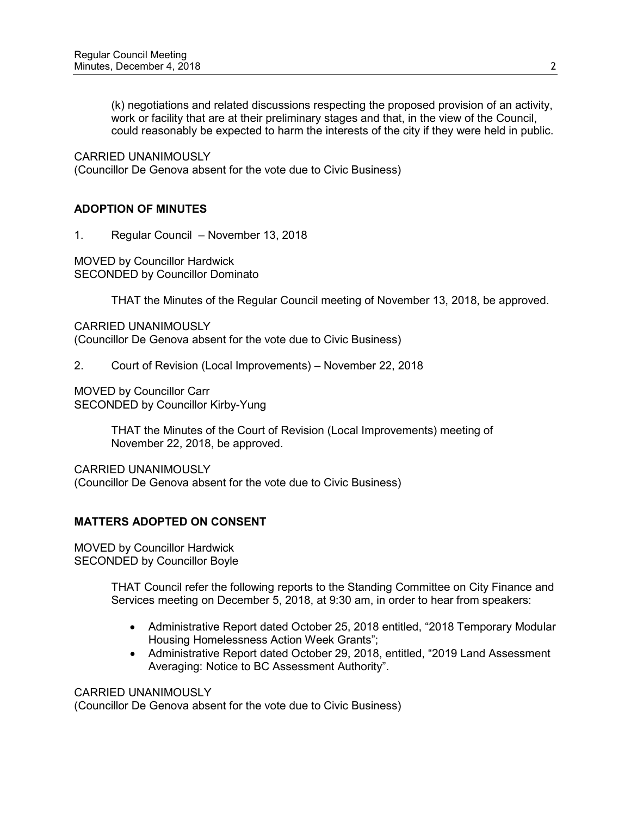(k) negotiations and related discussions respecting the proposed provision of an activity, work or facility that are at their preliminary stages and that, in the view of the Council, could reasonably be expected to harm the interests of the city if they were held in public.

CARRIED UNANIMOUSLY

(Councillor De Genova absent for the vote due to Civic Business)

# **ADOPTION OF MINUTES**

1. Regular Council – November 13, 2018

MOVED by Councillor Hardwick SECONDED by Councillor Dominato

THAT the Minutes of the Regular Council meeting of November 13, 2018, be approved.

CARRIED UNANIMOUSLY (Councillor De Genova absent for the vote due to Civic Business)

2. Court of Revision (Local Improvements) – November 22, 2018

MOVED by Councillor Carr SECONDED by Councillor Kirby-Yung

> THAT the Minutes of the Court of Revision (Local Improvements) meeting of November 22, 2018, be approved.

CARRIED UNANIMOUSLY (Councillor De Genova absent for the vote due to Civic Business)

# **MATTERS ADOPTED ON CONSENT**

MOVED by Councillor Hardwick SECONDED by Councillor Boyle

> THAT Council refer the following reports to the Standing Committee on City Finance and Services meeting on December 5, 2018, at 9:30 am, in order to hear from speakers:

- Administrative Report dated October 25, 2018 entitled, "2018 Temporary Modular Housing Homelessness Action Week Grants";
- Administrative Report dated October 29, 2018, entitled, "2019 Land Assessment Averaging: Notice to BC Assessment Authority".

CARRIED UNANIMOUSLY

(Councillor De Genova absent for the vote due to Civic Business)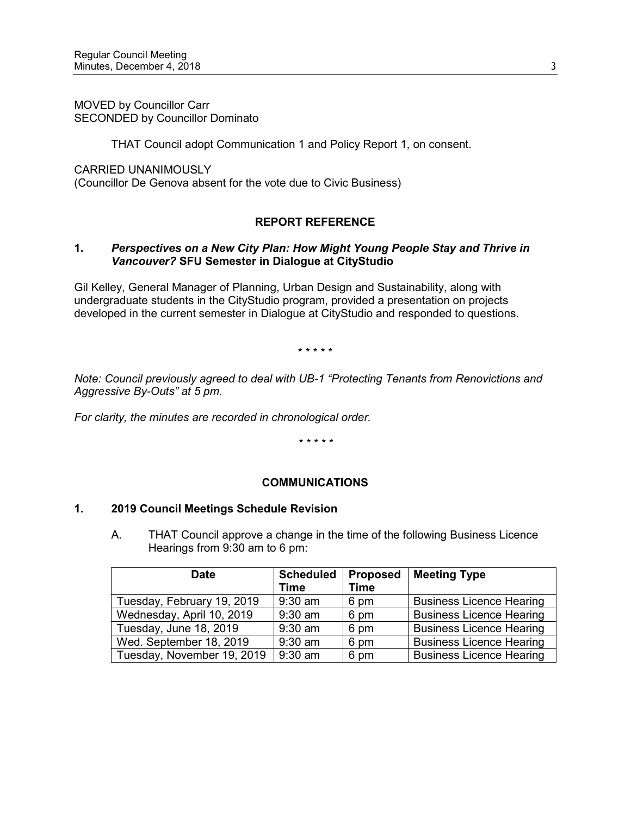MOVED by Councillor Carr SECONDED by Councillor Dominato

THAT Council adopt Communication 1 and Policy Report 1, on consent.

CARRIED UNANIMOUSLY

(Councillor De Genova absent for the vote due to Civic Business)

# **REPORT REFERENCE**

### **1.** *Perspectives on a New City Plan: How Might Young People Stay and Thrive in Vancouver?* **SFU Semester in Dialogue at CityStudio**

Gil Kelley, General Manager of Planning, Urban Design and Sustainability, along with undergraduate students in the CityStudio program, provided a presentation on projects developed in the current semester in Dialogue at CityStudio and responded to questions.

\* \* \* \* \*

*Note: Council previously agreed to deal with UB-1 "Protecting Tenants from Renovictions and Aggressive By-Outs" at 5 pm.*

*For clarity, the minutes are recorded in chronological order.* 

*\* \* \* \* \**

# **COMMUNICATIONS**

#### **1. 2019 Council Meetings Schedule Revision**

A. THAT Council approve a change in the time of the following Business Licence Hearings from 9:30 am to 6 pm:

| <b>Date</b>                | <b>Scheduled</b><br>Time | <b>Proposed</b><br><b>Time</b> | <b>Meeting Type</b>             |
|----------------------------|--------------------------|--------------------------------|---------------------------------|
| Tuesday, February 19, 2019 | $9:30$ am                | 6 pm                           | <b>Business Licence Hearing</b> |
| Wednesday, April 10, 2019  | $9:30$ am                | 6 pm                           | <b>Business Licence Hearing</b> |
| Tuesday, June 18, 2019     | $9:30$ am                | 6 pm                           | <b>Business Licence Hearing</b> |
| Wed. September 18, 2019    | $9:30$ am                | 6 pm                           | <b>Business Licence Hearing</b> |
| Tuesday, November 19, 2019 | $9:30$ am                | 6 pm                           | <b>Business Licence Hearing</b> |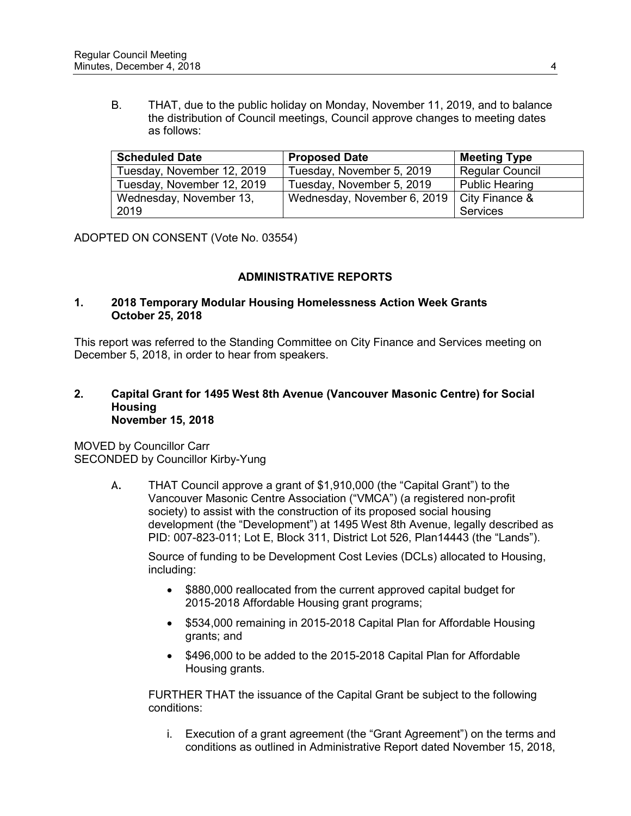B. THAT, due to the public holiday on Monday, November 11, 2019, and to balance the distribution of Council meetings, Council approve changes to meeting dates as follows:

| <b>Scheduled Date</b>      | <b>Proposed Date</b>        | <b>Meeting Type</b>    |
|----------------------------|-----------------------------|------------------------|
| Tuesday, November 12, 2019 | Tuesday, November 5, 2019   | <b>Regular Council</b> |
| Tuesday, November 12, 2019 | Tuesday, November 5, 2019   | <b>Public Hearing</b>  |
| Wednesday, November 13,    | Wednesday, November 6, 2019 | City Finance &         |
| 2019                       |                             | Services               |

ADOPTED ON CONSENT (Vote No. 03554)

# **ADMINISTRATIVE REPORTS**

### **1. 2018 Temporary Modular Housing Homelessness Action Week Grants October 25, 2018**

This report was referred to the Standing Committee on City Finance and Services meeting on December 5, 2018, in order to hear from speakers.

### **2. Capital Grant for 1495 West 8th Avenue (Vancouver Masonic Centre) for Social Housing November 15, 2018**

MOVED by Councillor Carr SECONDED by Councillor Kirby-Yung

> A. THAT Council approve a grant of \$1,910,000 (the "Capital Grant") to the Vancouver Masonic Centre Association ("VMCA") (a registered non-profit society) to assist with the construction of its proposed social housing development (the "Development") at 1495 West 8th Avenue, legally described as PID: 007-823-011; Lot E, Block 311, District Lot 526, Plan14443 (the "Lands").

Source of funding to be Development Cost Levies (DCLs) allocated to Housing, including:

- \$880,000 reallocated from the current approved capital budget for 2015-2018 Affordable Housing grant programs;
- \$534,000 remaining in 2015-2018 Capital Plan for Affordable Housing grants; and
- \$496,000 to be added to the 2015-2018 Capital Plan for Affordable Housing grants.

FURTHER THAT the issuance of the Capital Grant be subject to the following conditions:

i. Execution of a grant agreement (the "Grant Agreement") on the terms and conditions as outlined in Administrative Report dated November 15, 2018,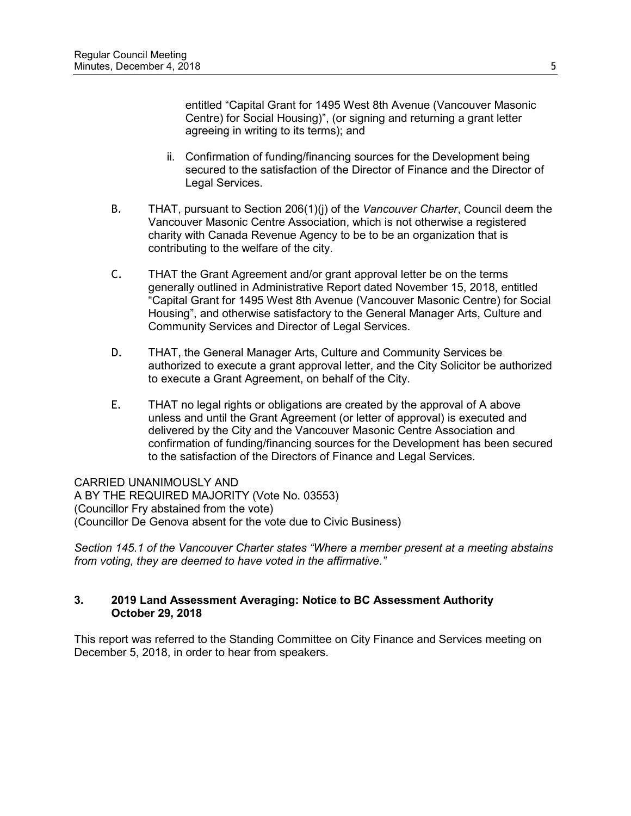entitled "Capital Grant for 1495 West 8th Avenue (Vancouver Masonic Centre) for Social Housing)", (or signing and returning a grant letter agreeing in writing to its terms); and

- ii. Confirmation of funding/financing sources for the Development being secured to the satisfaction of the Director of Finance and the Director of Legal Services.
- B. THAT, pursuant to Section 206(1)(j) of the *Vancouver Charter*, Council deem the Vancouver Masonic Centre Association, which is not otherwise a registered charity with Canada Revenue Agency to be to be an organization that is contributing to the welfare of the city.
- C. THAT the Grant Agreement and/or grant approval letter be on the terms generally outlined in Administrative Report dated November 15, 2018, entitled "Capital Grant for 1495 West 8th Avenue (Vancouver Masonic Centre) for Social Housing", and otherwise satisfactory to the General Manager Arts, Culture and Community Services and Director of Legal Services.
- D. THAT, the General Manager Arts, Culture and Community Services be authorized to execute a grant approval letter, and the City Solicitor be authorized to execute a Grant Agreement, on behalf of the City.
- E. THAT no legal rights or obligations are created by the approval of A above unless and until the Grant Agreement (or letter of approval) is executed and delivered by the City and the Vancouver Masonic Centre Association and confirmation of funding/financing sources for the Development has been secured to the satisfaction of the Directors of Finance and Legal Services.

CARRIED UNANIMOUSLY AND A BY THE REQUIRED MAJORITY (Vote No. 03553) (Councillor Fry abstained from the vote) (Councillor De Genova absent for the vote due to Civic Business)

*Section 145.1 of the Vancouver Charter states "Where a member present at a meeting abstains from voting, they are deemed to have voted in the affirmative."*

# **3. 2019 Land Assessment Averaging: Notice to BC Assessment Authority October 29, 2018**

This report was referred to the Standing Committee on City Finance and Services meeting on December 5, 2018, in order to hear from speakers.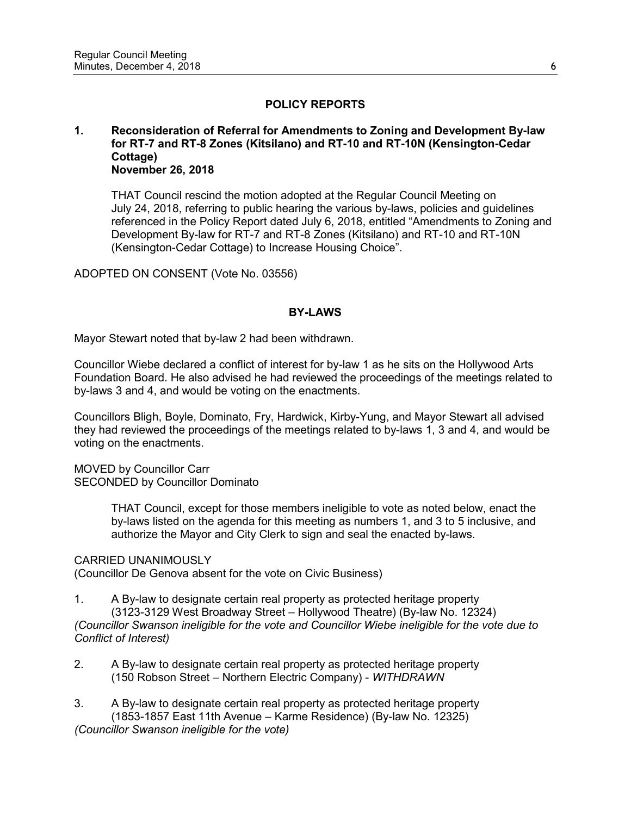# **POLICY REPORTS**

### **1. Reconsideration of Referral for Amendments to Zoning and Development By-law for RT-7 and RT-8 Zones (Kitsilano) and RT-10 and RT-10N (Kensington-Cedar Cottage) November 26, 2018**

THAT Council rescind the motion adopted at the Regular Council Meeting on July 24, 2018, referring to public hearing the various by-laws, policies and guidelines referenced in the Policy Report dated July 6, 2018, entitled "Amendments to Zoning and Development By-law for RT-7 and RT-8 Zones (Kitsilano) and RT-10 and RT-10N (Kensington-Cedar Cottage) to Increase Housing Choice".

ADOPTED ON CONSENT (Vote No. 03556)

### **BY-LAWS**

Mayor Stewart noted that by-law 2 had been withdrawn.

Councillor Wiebe declared a conflict of interest for by-law 1 as he sits on the Hollywood Arts Foundation Board. He also advised he had reviewed the proceedings of the meetings related to by-laws 3 and 4, and would be voting on the enactments.

Councillors Bligh, Boyle, Dominato, Fry, Hardwick, Kirby-Yung, and Mayor Stewart all advised they had reviewed the proceedings of the meetings related to by-laws 1, 3 and 4, and would be voting on the enactments.

MOVED by Councillor Carr SECONDED by Councillor Dominato

> THAT Council, except for those members ineligible to vote as noted below, enact the by-laws listed on the agenda for this meeting as numbers 1, and 3 to 5 inclusive, and authorize the Mayor and City Clerk to sign and seal the enacted by-laws.

#### CARRIED UNANIMOUSLY

(Councillor De Genova absent for the vote on Civic Business)

- 1. A By-law to designate certain real property as protected heritage property (3123-3129 West Broadway Street – Hollywood Theatre) (By-law No. 12324) *(Councillor Swanson ineligible for the vote and Councillor Wiebe ineligible for the vote due to Conflict of Interest)*
- 2. A By-law to designate certain real property as protected heritage property (150 Robson Street – Northern Electric Company) - *WITHDRAWN*
- 3. A By-law to designate certain real property as protected heritage property (1853-1857 East 11th Avenue – Karme Residence) (By-law No. 12325) *(Councillor Swanson ineligible for the vote)*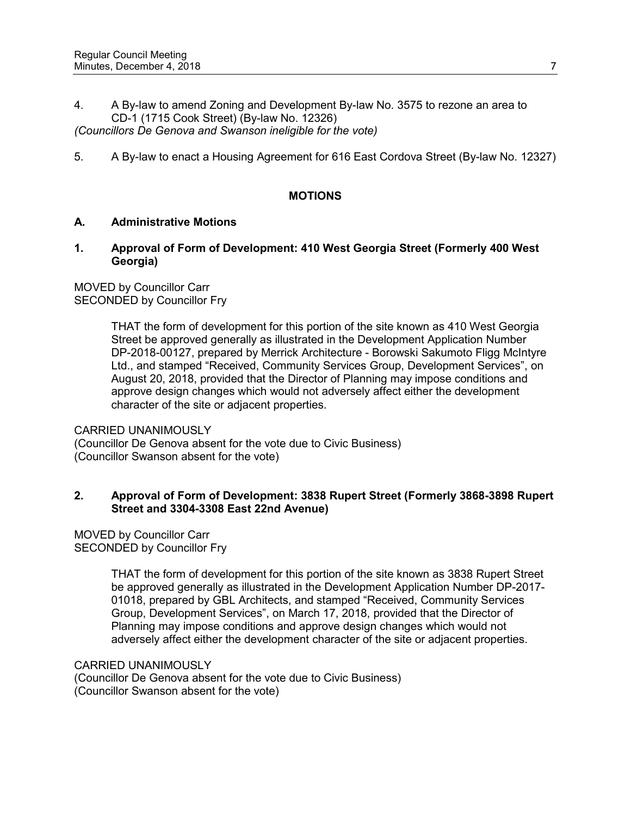4. A By-law to amend Zoning and Development By-law No. 3575 to rezone an area to CD-1 (1715 Cook Street) (By-law No. 12326)

*(Councillors De Genova and Swanson ineligible for the vote)*

5. A By-law to enact a Housing Agreement for 616 East Cordova Street (By-law No. 12327)

### **MOTIONS**

### **A. Administrative Motions**

**1. Approval of Form of Development: 410 West Georgia Street (Formerly 400 West Georgia)**

MOVED by Councillor Carr SECONDED by Councillor Fry

> THAT the form of development for this portion of the site known as 410 West Georgia Street be approved generally as illustrated in the Development Application Number DP-2018-00127, prepared by Merrick Architecture - Borowski Sakumoto Fligg McIntyre Ltd., and stamped "Received, Community Services Group, Development Services", on August 20, 2018, provided that the Director of Planning may impose conditions and approve design changes which would not adversely affect either the development character of the site or adjacent properties.

### CARRIED UNANIMOUSLY

(Councillor De Genova absent for the vote due to Civic Business) (Councillor Swanson absent for the vote)

### **2. Approval of Form of Development: 3838 Rupert Street (Formerly 3868-3898 Rupert Street and 3304-3308 East 22nd Avenue)**

MOVED by Councillor Carr SECONDED by Councillor Fry

> THAT the form of development for this portion of the site known as 3838 Rupert Street be approved generally as illustrated in the Development Application Number DP-2017- 01018, prepared by GBL Architects, and stamped "Received, Community Services Group, Development Services", on March 17, 2018, provided that the Director of Planning may impose conditions and approve design changes which would not adversely affect either the development character of the site or adjacent properties.

#### CARRIED UNANIMOUSLY

(Councillor De Genova absent for the vote due to Civic Business) (Councillor Swanson absent for the vote)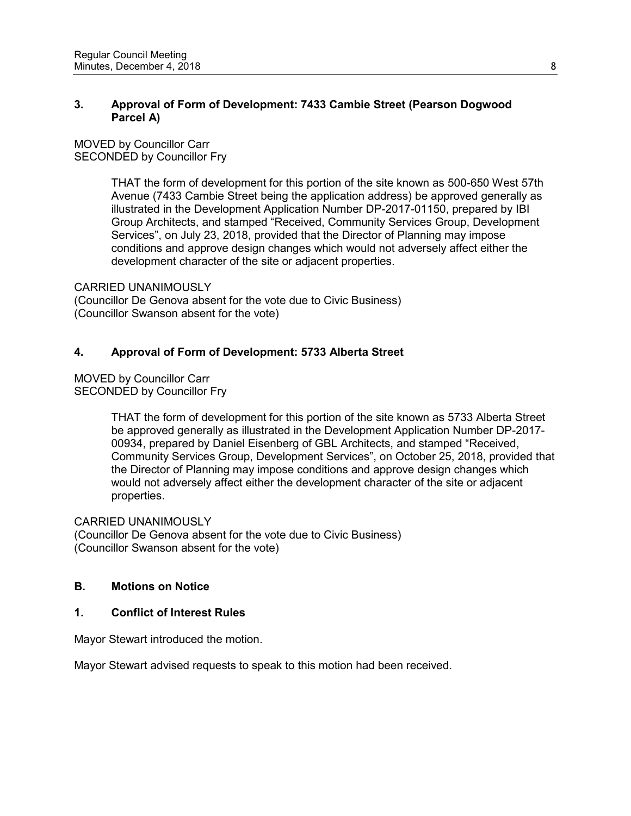# **3. Approval of Form of Development: 7433 Cambie Street (Pearson Dogwood Parcel A)**

MOVED by Councillor Carr SECONDED by Councillor Fry

> THAT the form of development for this portion of the site known as 500-650 West 57th Avenue (7433 Cambie Street being the application address) be approved generally as illustrated in the Development Application Number DP-2017-01150, prepared by IBI Group Architects, and stamped "Received, Community Services Group, Development Services", on July 23, 2018, provided that the Director of Planning may impose conditions and approve design changes which would not adversely affect either the development character of the site or adjacent properties.

CARRIED UNANIMOUSLY

(Councillor De Genova absent for the vote due to Civic Business) (Councillor Swanson absent for the vote)

# **4. Approval of Form of Development: 5733 Alberta Street**

MOVED by Councillor Carr SECONDED by Councillor Fry

> THAT the form of development for this portion of the site known as 5733 Alberta Street be approved generally as illustrated in the Development Application Number DP-2017- 00934, prepared by Daniel Eisenberg of GBL Architects, and stamped "Received, Community Services Group, Development Services", on October 25, 2018, provided that the Director of Planning may impose conditions and approve design changes which would not adversely affect either the development character of the site or adjacent properties.

# CARRIED UNANIMOUSLY

(Councillor De Genova absent for the vote due to Civic Business) (Councillor Swanson absent for the vote)

# **B. Motions on Notice**

# **1. Conflict of Interest Rules**

Mayor Stewart introduced the motion.

Mayor Stewart advised requests to speak to this motion had been received.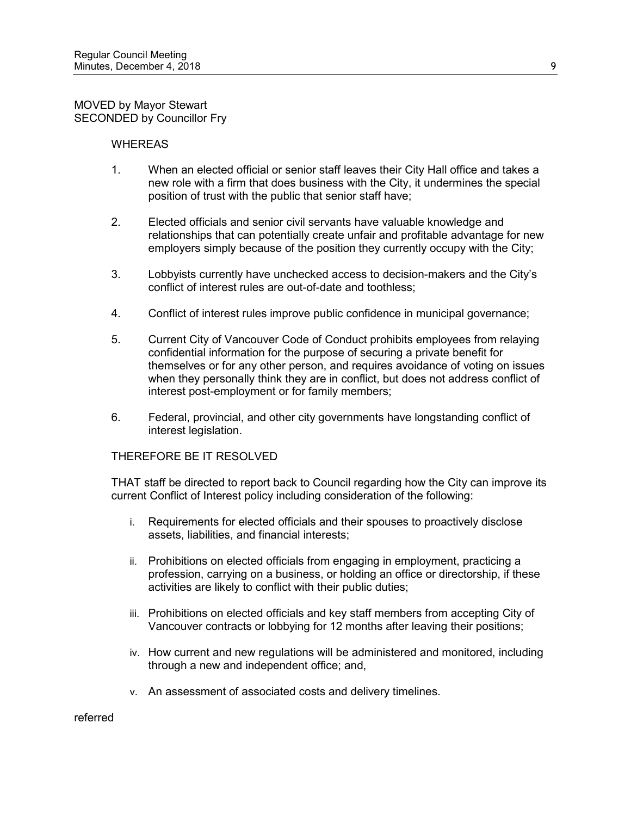MOVED by Mayor Stewart SECONDED by Councillor Fry

#### WHEREAS

- 1. When an elected official or senior staff leaves their City Hall office and takes a new role with a firm that does business with the City, it undermines the special position of trust with the public that senior staff have;
- 2. Elected officials and senior civil servants have valuable knowledge and relationships that can potentially create unfair and profitable advantage for new employers simply because of the position they currently occupy with the City;
- 3. Lobbyists currently have unchecked access to decision-makers and the City's conflict of interest rules are out-of-date and toothless;
- 4. Conflict of interest rules improve public confidence in municipal governance;
- 5. Current City of Vancouver Code of Conduct prohibits employees from relaying confidential information for the purpose of securing a private benefit for themselves or for any other person, and requires avoidance of voting on issues when they personally think they are in conflict, but does not address conflict of interest post-employment or for family members;
- 6. Federal, provincial, and other city governments have longstanding conflict of interest legislation.

#### THEREFORE BE IT RESOLVED

THAT staff be directed to report back to Council regarding how the City can improve its current Conflict of Interest policy including consideration of the following:

- i. Requirements for elected officials and their spouses to proactively disclose assets, liabilities, and financial interests;
- ii. Prohibitions on elected officials from engaging in employment, practicing a profession, carrying on a business, or holding an office or directorship, if these activities are likely to conflict with their public duties;
- iii. Prohibitions on elected officials and key staff members from accepting City of Vancouver contracts or lobbying for 12 months after leaving their positions;
- iv. How current and new regulations will be administered and monitored, including through a new and independent office; and,
- v. An assessment of associated costs and delivery timelines.

referred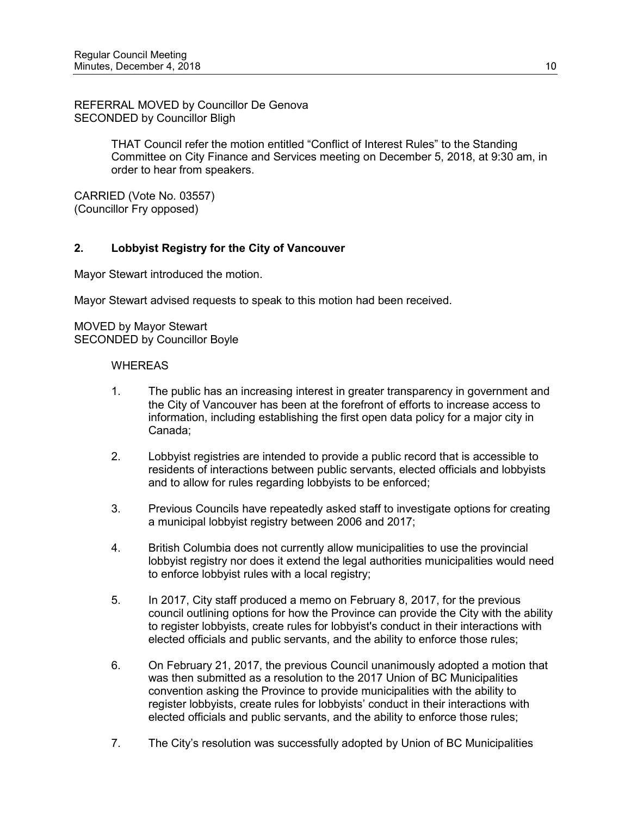REFERRAL MOVED by Councillor De Genova SECONDED by Councillor Bligh

> THAT Council refer the motion entitled "Conflict of Interest Rules" to the Standing Committee on City Finance and Services meeting on December 5, 2018, at 9:30 am, in order to hear from speakers.

CARRIED (Vote No. 03557) (Councillor Fry opposed)

# **2. Lobbyist Registry for the City of Vancouver**

Mayor Stewart introduced the motion.

Mayor Stewart advised requests to speak to this motion had been received.

MOVED by Mayor Stewart SECONDED by Councillor Boyle

- 1. The public has an increasing interest in greater transparency in government and the City of Vancouver has been at the forefront of efforts to increase access to information, including establishing the first open data policy for a major city in Canada;
- 2. Lobbyist registries are intended to provide a public record that is accessible to residents of interactions between public servants, elected officials and lobbyists and to allow for rules regarding lobbyists to be enforced;
- 3. Previous Councils have repeatedly asked staff to investigate options for creating a municipal lobbyist registry between 2006 and 2017;
- 4. British Columbia does not currently allow municipalities to use the provincial lobbyist registry nor does it extend the legal authorities municipalities would need to enforce lobbyist rules with a local registry;
- 5. In 2017, City staff produced a memo on February 8, 2017, for the previous council outlining options for how the Province can provide the City with the ability to register lobbyists, create rules for lobbyist's conduct in their interactions with elected officials and public servants, and the ability to enforce those rules;
- 6. On February 21, 2017, the previous Council unanimously adopted a motion that was then submitted as a resolution to the 2017 Union of BC Municipalities convention asking the Province to provide municipalities with the ability to register lobbyists, create rules for lobbyists' conduct in their interactions with elected officials and public servants, and the ability to enforce those rules;
- 7. The City's resolution was successfully adopted by Union of BC Municipalities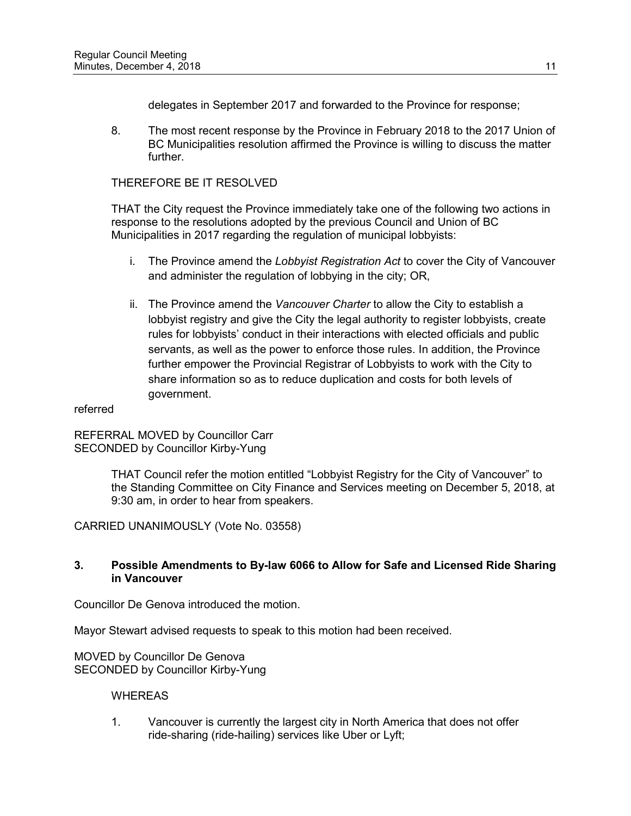delegates in September 2017 and forwarded to the Province for response;

8. The most recent response by the Province in February 2018 to the 2017 Union of BC Municipalities resolution affirmed the Province is willing to discuss the matter further.

### THEREFORE BE IT RESOLVED

THAT the City request the Province immediately take one of the following two actions in response to the resolutions adopted by the previous Council and Union of BC Municipalities in 2017 regarding the regulation of municipal lobbyists:

- i. The Province amend the *Lobbyist Registration Act* to cover the City of Vancouver and administer the regulation of lobbying in the city; OR,
- ii. The Province amend the *Vancouver Charter* to allow the City to establish a lobbyist registry and give the City the legal authority to register lobbyists, create rules for lobbyists' conduct in their interactions with elected officials and public servants, as well as the power to enforce those rules. In addition, the Province further empower the Provincial Registrar of Lobbyists to work with the City to share information so as to reduce duplication and costs for both levels of government.

#### referred

REFERRAL MOVED by Councillor Carr SECONDED by Councillor Kirby-Yung

> THAT Council refer the motion entitled "Lobbyist Registry for the City of Vancouver" to the Standing Committee on City Finance and Services meeting on December 5, 2018, at 9:30 am, in order to hear from speakers.

CARRIED UNANIMOUSLY (Vote No. 03558)

### **3. Possible Amendments to By-law 6066 to Allow for Safe and Licensed Ride Sharing in Vancouver**

Councillor De Genova introduced the motion.

Mayor Stewart advised requests to speak to this motion had been received.

MOVED by Councillor De Genova SECONDED by Councillor Kirby-Yung

#### **WHEREAS**

1. Vancouver is currently the largest city in North America that does not offer ride-sharing (ride-hailing) services like Uber or Lyft;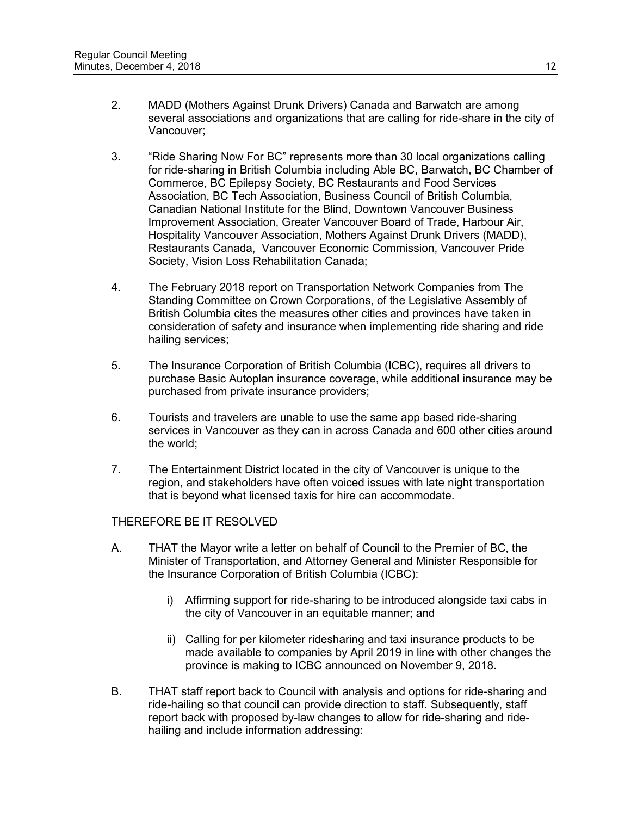- 2. MADD (Mothers Against Drunk Drivers) Canada and Barwatch are among several associations and organizations that are calling for ride-share in the city of Vancouver;
- 3. "Ride Sharing Now For BC" represents more than 30 local organizations calling for ride-sharing in British Columbia including Able BC, Barwatch, BC Chamber of Commerce, BC Epilepsy Society, BC Restaurants and Food Services Association, BC Tech Association, Business Council of British Columbia, Canadian National Institute for the Blind, Downtown Vancouver Business Improvement Association, Greater Vancouver Board of Trade, Harbour Air, Hospitality Vancouver Association, Mothers Against Drunk Drivers (MADD), Restaurants Canada, Vancouver Economic Commission, Vancouver Pride Society, Vision Loss Rehabilitation Canada;
- 4. The February 2018 report on Transportation Network Companies from The Standing Committee on Crown Corporations, of the Legislative Assembly of British Columbia cites the measures other cities and provinces have taken in consideration of safety and insurance when implementing ride sharing and ride hailing services;
- 5. The Insurance Corporation of British Columbia (ICBC), requires all drivers to purchase Basic Autoplan insurance coverage, while additional insurance may be purchased from private insurance providers;
- 6. Tourists and travelers are unable to use the same app based ride-sharing services in Vancouver as they can in across Canada and 600 other cities around the world;
- 7. The Entertainment District located in the city of Vancouver is unique to the region, and stakeholders have often voiced issues with late night transportation that is beyond what licensed taxis for hire can accommodate.

- A. THAT the Mayor write a letter on behalf of Council to the Premier of BC, the Minister of Transportation, and Attorney General and Minister Responsible for the Insurance Corporation of British Columbia (ICBC):
	- i) Affirming support for ride-sharing to be introduced alongside taxi cabs in the city of Vancouver in an equitable manner; and
	- ii) Calling for per kilometer ridesharing and taxi insurance products to be made available to companies by April 2019 in line with other changes the province is making to ICBC announced on November 9, 2018.
- B. THAT staff report back to Council with analysis and options for ride-sharing and ride-hailing so that council can provide direction to staff. Subsequently, staff report back with proposed by-law changes to allow for ride-sharing and ridehailing and include information addressing: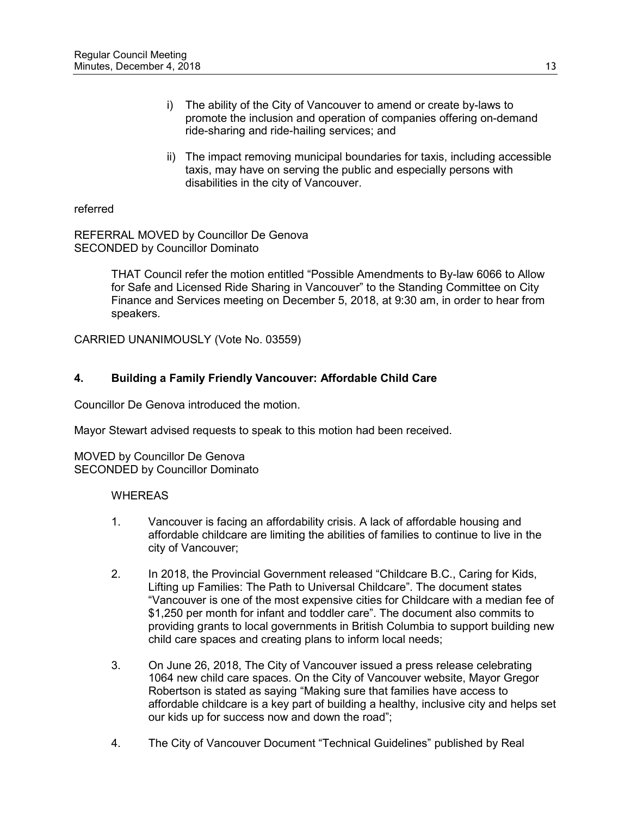- i) The ability of the City of Vancouver to amend or create by-laws to promote the inclusion and operation of companies offering on-demand ride-sharing and ride-hailing services; and
- ii) The impact removing municipal boundaries for taxis, including accessible taxis, may have on serving the public and especially persons with disabilities in the city of Vancouver.

### referred

REFERRAL MOVED by Councillor De Genova SECONDED by Councillor Dominato

> THAT Council refer the motion entitled "Possible Amendments to By-law 6066 to Allow for Safe and Licensed Ride Sharing in Vancouver" to the Standing Committee on City Finance and Services meeting on December 5, 2018, at 9:30 am, in order to hear from speakers.

CARRIED UNANIMOUSLY (Vote No. 03559)

# **4. Building a Family Friendly Vancouver: Affordable Child Care**

Councillor De Genova introduced the motion.

Mayor Stewart advised requests to speak to this motion had been received.

MOVED by Councillor De Genova SECONDED by Councillor Dominato

- 1. Vancouver is facing an affordability crisis. A lack of affordable housing and affordable childcare are limiting the abilities of families to continue to live in the city of Vancouver;
- 2. In 2018, the Provincial Government released "Childcare B.C., Caring for Kids, Lifting up Families: The Path to Universal Childcare". The document states "Vancouver is one of the most expensive cities for Childcare with a median fee of \$1,250 per month for infant and toddler care". The document also commits to providing grants to local governments in British Columbia to support building new child care spaces and creating plans to inform local needs;
- 3. On June 26, 2018, The City of Vancouver issued a press release celebrating 1064 new child care spaces. On the City of Vancouver website, Mayor Gregor Robertson is stated as saying "Making sure that families have access to affordable childcare is a key part of building a healthy, inclusive city and helps set our kids up for success now and down the road";
- 4. The City of Vancouver Document "Technical Guidelines" published by Real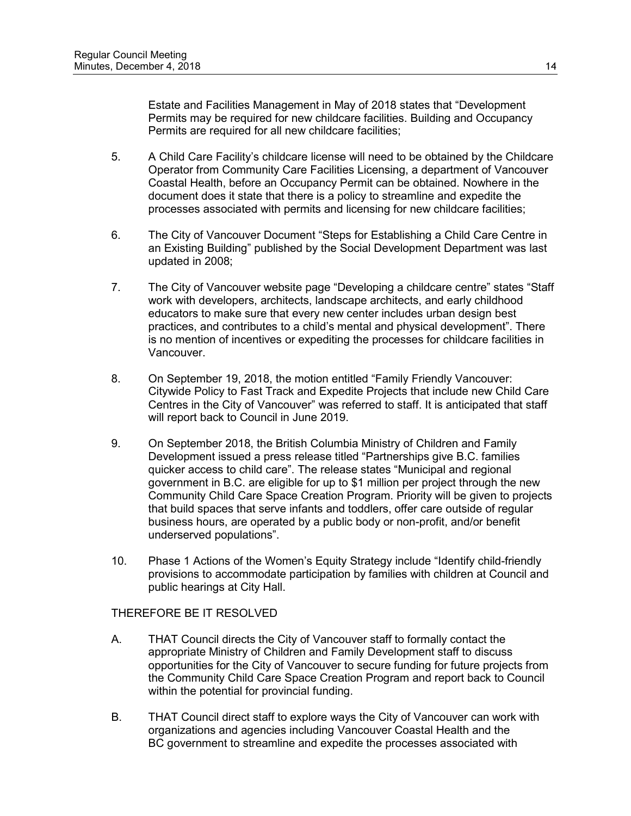Estate and Facilities Management in May of 2018 states that "Development Permits may be required for new childcare facilities. Building and Occupancy Permits are required for all new childcare facilities;

- 5. A Child Care Facility's childcare license will need to be obtained by the Childcare Operator from Community Care Facilities Licensing, a department of Vancouver Coastal Health, before an Occupancy Permit can be obtained. Nowhere in the document does it state that there is a policy to streamline and expedite the processes associated with permits and licensing for new childcare facilities;
- 6. The City of Vancouver Document "Steps for Establishing a Child Care Centre in an Existing Building" published by the Social Development Department was last updated in 2008;
- 7. The City of Vancouver website page "Developing a childcare centre" states "Staff work with developers, architects, landscape architects, and early childhood educators to make sure that every new center includes urban design best practices, and contributes to a child's mental and physical development". There is no mention of incentives or expediting the processes for childcare facilities in Vancouver.
- 8. On [September 19,](x-apple-data-detectors://2/) 2018, the motion entitled "Family Friendly Vancouver: Citywide Policy to Fast Track and Expedite Projects that include new Child Care Centres in the City of Vancouver" was referred to staff. It is anticipated that staff will report back to Council in June 2019.
- 9. On September 2018, the British Columbia Ministry of Children and Family Development issued a press release titled "Partnerships give B.C. families quicker access to child care". The release states "Municipal and regional government in B.C. are eligible for up to \$1 million per project through the new Community Child Care Space Creation Program. Priority will be given to projects that build spaces that serve infants and toddlers, offer care outside of regular business hours, are operated by a public body or non-profit, and/or benefit underserved populations".
- 10. Phase 1 Actions of the Women's Equity Strategy include "Identify child-friendly provisions to accommodate participation by families with children at Council and public hearings at City Hall.

# THEREFORE BE IT RESOLVED

- A. THAT Council directs the City of Vancouver staff to formally contact the appropriate Ministry of Children and Family Development staff to discuss opportunities for the City of Vancouver to secure funding for future projects from the Community Child Care Space Creation Program and report back to Council within the potential for provincial funding.
- B. THAT Council direct staff to explore ways the City of Vancouver can work with organizations and agencies including Vancouver Coastal Health and the BC government to streamline and expedite the processes associated with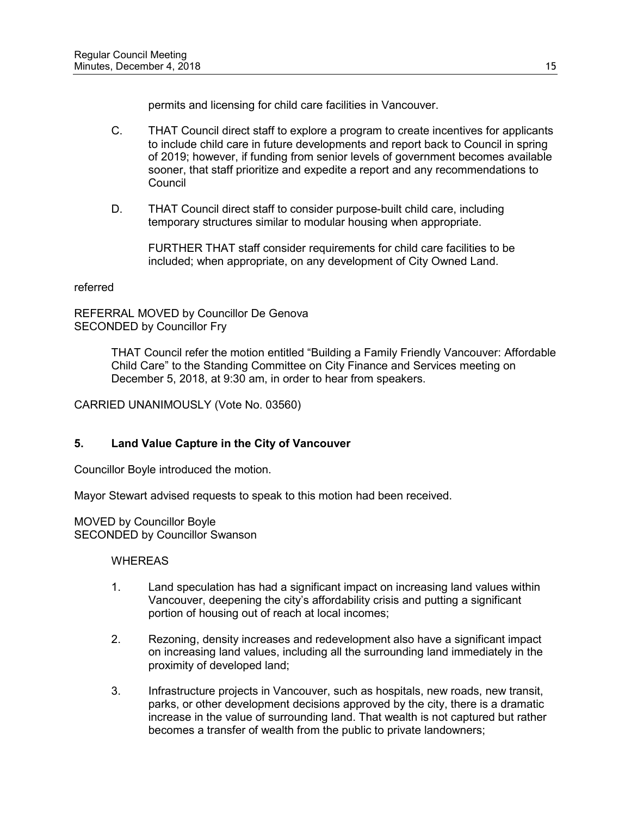permits and licensing for child care facilities in Vancouver.

- C. THAT Council direct staff to explore a program to create incentives for applicants to include child care in future developments and report back to Council in spring of 2019; however, if funding from senior levels of government becomes available sooner, that staff prioritize and expedite a report and any recommendations to **Council**
- D. THAT Council direct staff to consider purpose-built child care, including temporary structures similar to modular housing when appropriate.

FURTHER THAT staff consider requirements for child care facilities to be included; when appropriate, on any development of City Owned Land.

#### referred

REFERRAL MOVED by Councillor De Genova SECONDED by Councillor Fry

> THAT Council refer the motion entitled "Building a Family Friendly Vancouver: Affordable Child Care" to the Standing Committee on City Finance and Services meeting on December 5, 2018, at 9:30 am, in order to hear from speakers.

CARRIED UNANIMOUSLY (Vote No. 03560)

# **5. Land Value Capture in the City of Vancouver**

Councillor Boyle introduced the motion.

Mayor Stewart advised requests to speak to this motion had been received.

MOVED by Councillor Boyle SECONDED by Councillor Swanson

- 1. Land speculation has had a significant impact on increasing land values within Vancouver, deepening the city's affordability crisis and putting a significant portion of housing out of reach at local incomes;
- 2. Rezoning, density increases and redevelopment also have a significant impact on increasing land values, including all the surrounding land immediately in the proximity of developed land;
- 3. Infrastructure projects in Vancouver, such as hospitals, new roads, new transit, parks, or other development decisions approved by the city, there is a dramatic increase in the value of surrounding land. That wealth is not captured but rather becomes a transfer of wealth from the public to private landowners;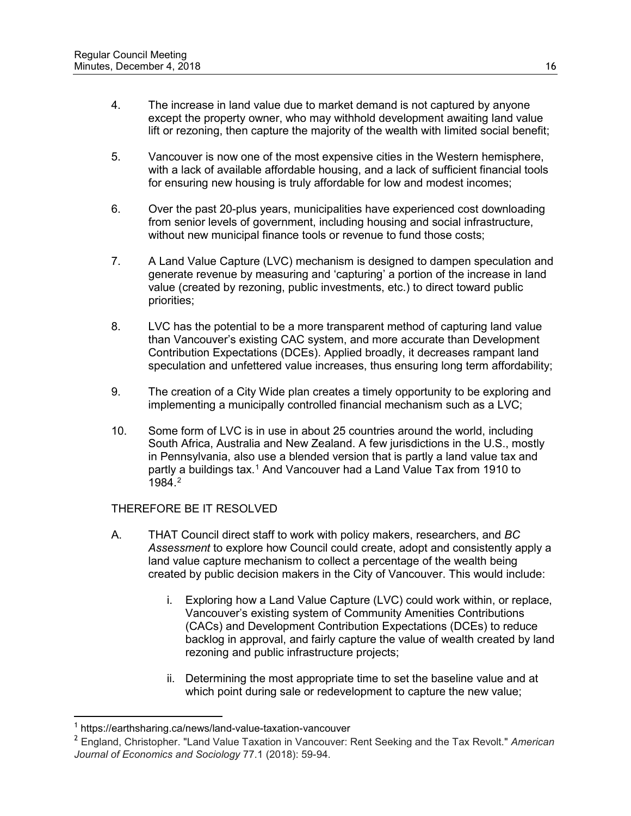- 4. The increase in land value due to market demand is not captured by anyone except the property owner, who may withhold development awaiting land value lift or rezoning, then capture the majority of the wealth with limited social benefit;
- 5. Vancouver is now one of the most expensive cities in the Western hemisphere, with a lack of available affordable housing, and a lack of sufficient financial tools for ensuring new housing is truly affordable for low and modest incomes;
- 6. Over the past 20-plus years, municipalities have experienced cost downloading from senior levels of government, including housing and social infrastructure, without new municipal finance tools or revenue to fund those costs;
- 7. A Land Value Capture (LVC) mechanism is designed to dampen speculation and generate revenue by measuring and 'capturing' a portion of the increase in land value (created by rezoning, public investments, etc.) to direct toward public priorities;
- 8. LVC has the potential to be a more transparent method of capturing land value than Vancouver's existing CAC system, and more accurate than Development Contribution Expectations (DCEs). Applied broadly, it decreases rampant land speculation and unfettered value increases, thus ensuring long term affordability;
- 9. The creation of a City Wide plan creates a timely opportunity to be exploring and implementing a municipally controlled financial mechanism such as a LVC;
- 10. Some form of LVC is in use in about 25 countries around the world, including South Africa, Australia and New Zealand. A few jurisdictions in the U.S., mostly in Pennsylvania, also use a blended version that is partly a land value tax and partly a buildings tax.<sup>[1](#page-15-0)</sup> And Vancouver had a Land Value Tax from 1910 to 1984.[2](#page-15-1)

- A. THAT Council direct staff to work with policy makers, researchers, and *BC Assessment* to explore how Council could create, adopt and consistently apply a land value capture mechanism to collect a percentage of the wealth being created by public decision makers in the City of Vancouver. This would include:
	- i. Exploring how a Land Value Capture (LVC) could work within, or replace, Vancouver's existing system of Community Amenities Contributions (CACs) and Development Contribution Expectations (DCEs) to reduce backlog in approval, and fairly capture the value of wealth created by land rezoning and public infrastructure projects;
	- ii. Determining the most appropriate time to set the baseline value and at which point during sale or redevelopment to capture the new value;

<span id="page-15-0"></span>https://earthsharing.ca/news/land-value-taxation-vancouver

<span id="page-15-1"></span><sup>2</sup> England, Christopher. "Land Value Taxation in Vancouver: Rent Seeking and the Tax Revolt." *American Journal of Economics and Sociology* 77.1 (2018): 59-94.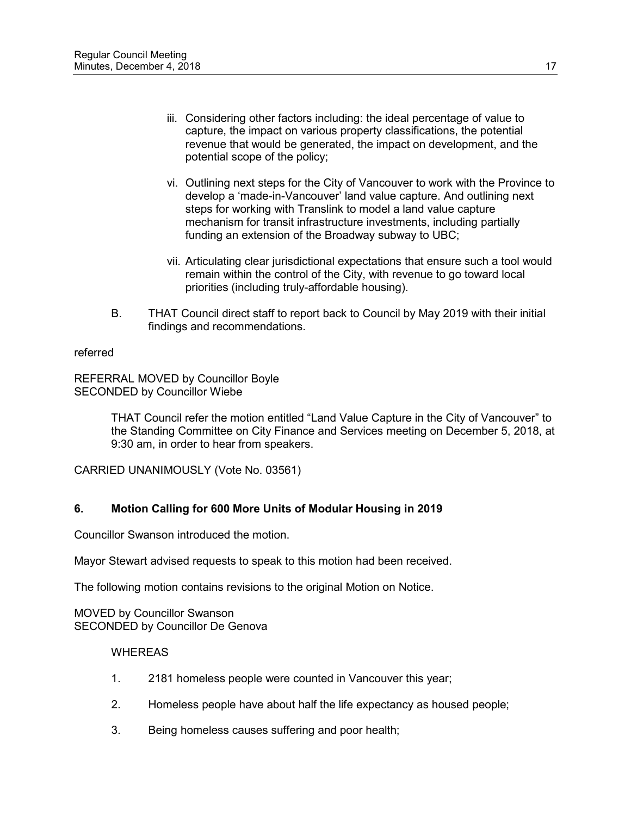- iii. Considering other factors including: the ideal percentage of value to capture, the impact on various property classifications, the potential revenue that would be generated, the impact on development, and the potential scope of the policy;
- vi. Outlining next steps for the City of Vancouver to work with the Province to develop a 'made-in-Vancouver' land value capture. And outlining next steps for working with Translink to model a land value capture mechanism for transit infrastructure investments, including partially funding an extension of the Broadway subway to UBC;
- vii. Articulating clear jurisdictional expectations that ensure such a tool would remain within the control of the City, with revenue to go toward local priorities (including truly-affordable housing).
- B. THAT Council direct staff to report back to Council by May 2019 with their initial findings and recommendations.

referred

REFERRAL MOVED by Councillor Boyle SECONDED by Councillor Wiebe

> THAT Council refer the motion entitled "Land Value Capture in the City of Vancouver" to the Standing Committee on City Finance and Services meeting on December 5, 2018, at 9:30 am, in order to hear from speakers.

CARRIED UNANIMOUSLY (Vote No. 03561)

# **6. Motion Calling for 600 More Units of Modular Housing in 2019**

Councillor Swanson introduced the motion.

Mayor Stewart advised requests to speak to this motion had been received.

The following motion contains revisions to the original Motion on Notice.

MOVED by Councillor Swanson SECONDED by Councillor De Genova

- 1. 2181 homeless people were counted in Vancouver this year;
- 2. Homeless people have about half the life expectancy as housed people;
- 3. Being homeless causes suffering and poor health;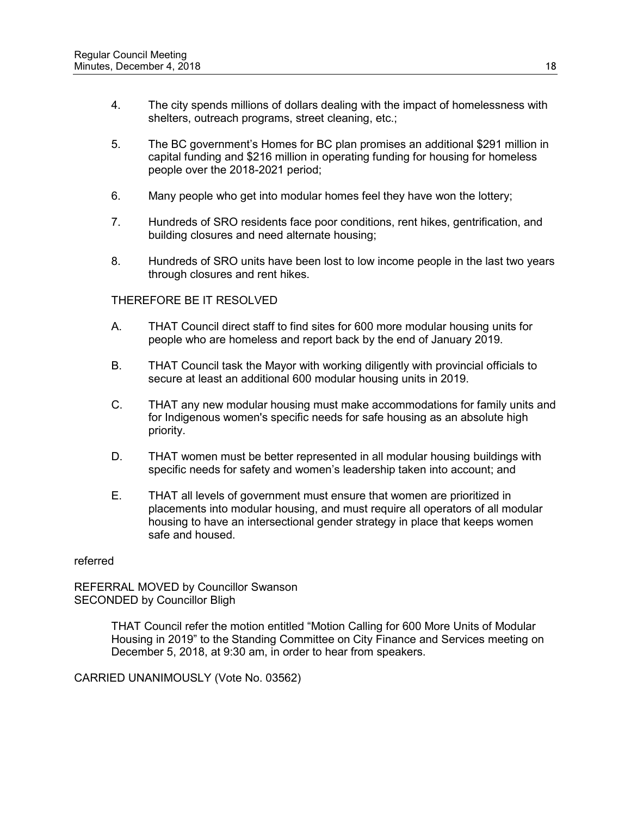- 4. The city spends millions of dollars dealing with the impact of homelessness with shelters, outreach programs, street cleaning, etc.;
- 5. The BC government's Homes for BC plan promises an additional \$291 million in capital funding and \$216 million in operating funding for housing for homeless people over the 2018-2021 period;
- 6. Many people who get into modular homes feel they have won the lottery;
- 7. Hundreds of SRO residents face poor conditions, rent hikes, gentrification, and building closures and need alternate housing;
- 8. Hundreds of SRO units have been lost to low income people in the last two years through closures and rent hikes.

- A. THAT Council direct staff to find sites for 600 more modular housing units for people who are homeless and report back by the end of January 2019.
- B. THAT Council task the Mayor with working diligently with provincial officials to secure at least an additional 600 modular housing units in 2019.
- C. THAT any new modular housing must make accommodations for family units and for Indigenous women's specific needs for safe housing as an absolute high priority.
- D. THAT women must be better represented in all modular housing buildings with specific needs for safety and women's leadership taken into account; and
- E. THAT all levels of government must ensure that women are prioritized in placements into modular housing, and must require all operators of all modular housing to have an intersectional gender strategy in place that keeps women safe and housed.

#### referred

REFERRAL MOVED by Councillor Swanson SECONDED by Councillor Bligh

> THAT Council refer the motion entitled "Motion Calling for 600 More Units of Modular Housing in 2019" to the Standing Committee on City Finance and Services meeting on December 5, 2018, at 9:30 am, in order to hear from speakers.

CARRIED UNANIMOUSLY (Vote No. 03562)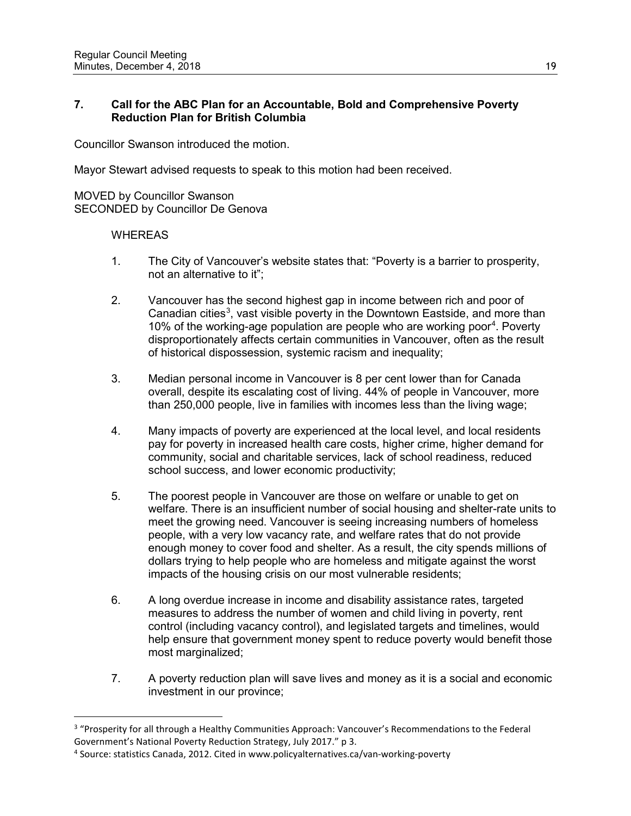# **7. Call for the ABC Plan for an Accountable, Bold and Comprehensive Poverty Reduction Plan for British Columbia**

Councillor Swanson introduced the motion.

Mayor Stewart advised requests to speak to this motion had been received.

MOVED by Councillor Swanson SECONDED by Councillor De Genova

### **WHEREAS**

 $\overline{a}$ 

- 1. The City of Vancouver's website states that: "Poverty is a barrier to prosperity, not an alternative to it";
- 2. Vancouver has the second highest gap in income between rich and poor of Canadian cities<sup>[3](#page-18-0)</sup>, vast visible poverty in the Downtown Eastside, and more than 10% of the working-age population are people who are working poor<sup>[4](#page-18-1)</sup>. Poverty disproportionately affects certain communities in Vancouver, often as the result of historical dispossession, systemic racism and inequality;
- 3. Median personal income in Vancouver is 8 per cent lower than for Canada overall, despite its escalating cost of living. 44% of people in Vancouver, more than 250,000 people, live in families with incomes less than the living wage;
- 4. Many impacts of poverty are experienced at the local level, and local residents pay for poverty in increased health care costs, higher crime, higher demand for community, social and charitable services, lack of school readiness, reduced school success, and lower economic productivity;
- 5. The poorest people in Vancouver are those on welfare or unable to get on welfare. There is an insufficient number of social housing and shelter-rate units to meet the growing need. Vancouver is seeing increasing numbers of homeless people, with a very low vacancy rate, and welfare rates that do not provide enough money to cover food and shelter. As a result, the city spends millions of dollars trying to help people who are homeless and mitigate against the worst impacts of the housing crisis on our most vulnerable residents;
- 6. A long overdue increase in income and disability assistance rates, targeted measures to address the number of women and child living in poverty, rent control (including vacancy control), and legislated targets and timelines, would help ensure that government money spent to reduce poverty would benefit those most marginalized;
- 7. A poverty reduction plan will save lives and money as it is a social and economic investment in our province;

<span id="page-18-0"></span><sup>&</sup>lt;sup>3</sup> "Prosperity for all through a Healthy Communities Approach: Vancouver's Recommendations to the Federal Government's National Poverty Reduction Strategy, July 2017." p 3.

<span id="page-18-1"></span><sup>4</sup> Source: statistics Canada, 2012. Cited in www.policyalternatives.ca/van-working-poverty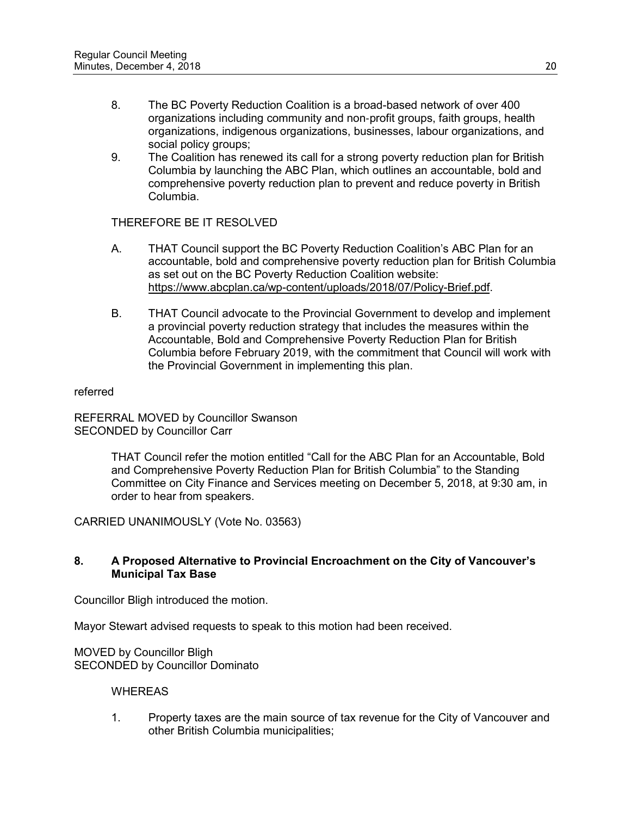- 8. The BC Poverty Reduction Coalition is a broad-based network of over 400 organizations including community and non‐profit groups, faith groups, health organizations, indigenous organizations, businesses, labour organizations, and social policy groups;
- 9. The Coalition has renewed its call for a strong poverty reduction plan for British Columbia by launching the ABC Plan, which outlines an accountable, bold and comprehensive poverty reduction plan to prevent and reduce poverty in British Columbia.

- A. THAT Council support the BC Poverty Reduction Coalition's ABC Plan for an accountable, bold and comprehensive poverty reduction plan for British Columbia as set out on the BC Poverty Reduction Coalition website: [https://www.abcplan.ca/wp-content/uploads/2018/07/Policy-Brief.pdf.](https://www.abcplan.ca/wp-content/uploads/2018/07/Policy-Brief.pdf)
- B. THAT Council advocate to the Provincial Government to develop and implement a provincial poverty reduction strategy that includes the measures within the Accountable, Bold and Comprehensive Poverty Reduction Plan for British Columbia before February 2019, with the commitment that Council will work with the Provincial Government in implementing this plan.

referred

REFERRAL MOVED by Councillor Swanson SECONDED by Councillor Carr

> THAT Council refer the motion entitled "Call for the ABC Plan for an Accountable, Bold and Comprehensive Poverty Reduction Plan for British Columbia" to the Standing Committee on City Finance and Services meeting on December 5, 2018, at 9:30 am, in order to hear from speakers.

CARRIED UNANIMOUSLY (Vote No. 03563)

# **8. A Proposed Alternative to Provincial Encroachment on the City of Vancouver's Municipal Tax Base**

Councillor Bligh introduced the motion.

Mayor Stewart advised requests to speak to this motion had been received.

MOVED by Councillor Bligh SECONDED by Councillor Dominato

# **WHEREAS**

1. Property taxes are the main source of tax revenue for the City of Vancouver and other British Columbia municipalities;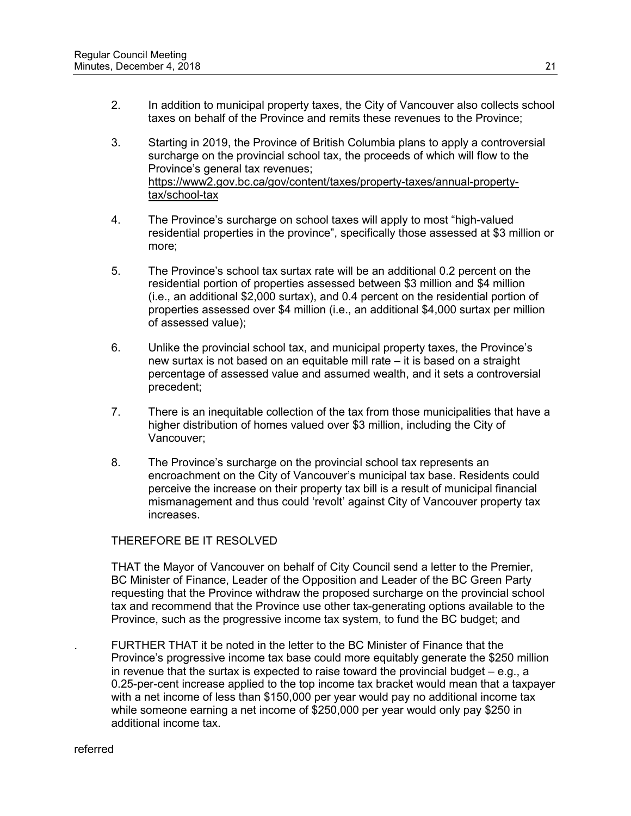- 2. In addition to municipal property taxes, the City of Vancouver also collects school taxes on behalf of the Province and remits these revenues to the Province;
- 3. Starting in 2019, the Province of British Columbia plans to apply a controversial surcharge on the provincial school tax, the proceeds of which will flow to the Province's general tax revenues; [https://www2.gov.bc.ca/gov/content/taxes/property-taxes/annual-property](https://www2.gov.bc.ca/gov/content/taxes/property-taxes/annual-property-tax/school-tax)[tax/school-tax](https://www2.gov.bc.ca/gov/content/taxes/property-taxes/annual-property-tax/school-tax)
- 4. The Province's surcharge on school taxes will apply to most "high-valued residential properties in the province", specifically those assessed at \$3 million or more;
- 5. The Province's school tax surtax rate will be an additional 0.2 percent on the residential portion of properties assessed between \$3 million and \$4 million (i.e., an additional \$2,000 surtax), and 0.4 percent on the residential portion of properties assessed over \$4 million (i.e., an additional \$4,000 surtax per million of assessed value);
- 6. Unlike the provincial school tax, and municipal property taxes, the Province's new surtax is not based on an equitable mill rate – it is based on a straight percentage of assessed value and assumed wealth, and it sets a controversial precedent;
- 7. There is an inequitable collection of the tax from those municipalities that have a higher distribution of homes valued over \$3 million, including the City of Vancouver;
- 8. The Province's surcharge on the provincial school tax represents an encroachment on the City of Vancouver's municipal tax base. Residents could perceive the increase on their property tax bill is a result of municipal financial mismanagement and thus could 'revolt' against City of Vancouver property tax increases.

THAT the Mayor of Vancouver on behalf of City Council send a letter to the Premier, BC Minister of Finance, Leader of the Opposition and Leader of the BC Green Party requesting that the Province withdraw the proposed surcharge on the provincial school tax and recommend that the Province use other tax-generating options available to the Province, such as the progressive income tax system, to fund the BC budget; and

. FURTHER THAT it be noted in the letter to the BC Minister of Finance that the Province's progressive income tax base could more equitably generate the \$250 million in revenue that the surtax is expected to raise toward the provincial budget – e.g., a 0.25-per-cent increase applied to the top income tax bracket would mean that a taxpayer with a net income of less than \$150,000 per year would pay no additional income tax while someone earning a net income of \$250,000 per year would only pay \$250 in additional income tax.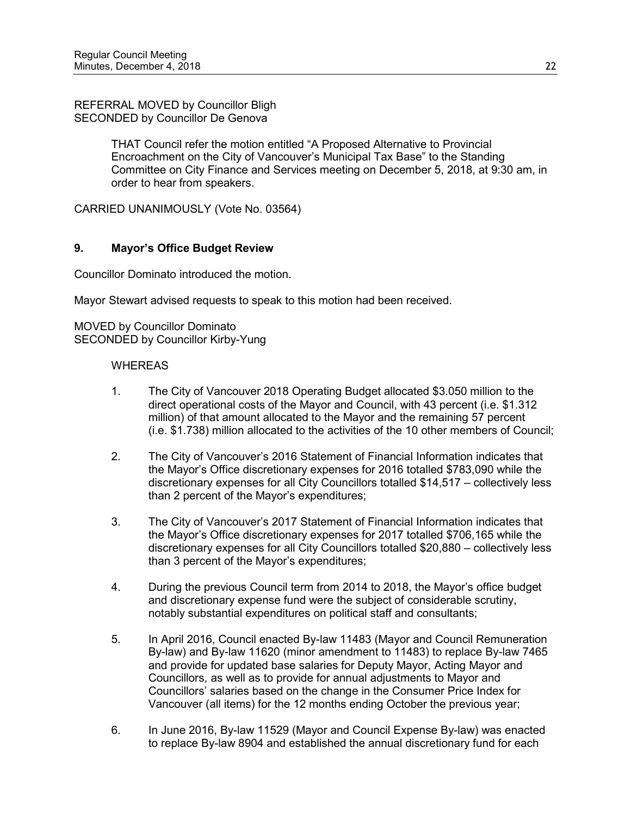REFERRAL MOVED by Councillor Bligh SECONDED by Councillor De Genova

> THAT Council refer the motion entitled "A Proposed Alternative to Provincial Encroachment on the City of Vancouver's Municipal Tax Base" to the Standing Committee on City Finance and Services meeting on December 5, 2018, at 9:30 am, in order to hear from speakers.

CARRIED UNANIMOUSLY (Vote No. 03564)

# **9. Mayor's Office Budget Review**

Councillor Dominato introduced the motion.

Mayor Stewart advised requests to speak to this motion had been received.

MOVED by Councillor Dominato SECONDED by Councillor Kirby-Yung

- 1. The City of Vancouver 2018 Operating Budget allocated \$3.050 million to the direct operational costs of the Mayor and Council, with 43 percent (i.e. \$1.312 million) of that amount allocated to the Mayor and the remaining 57 percent (i.e. \$1.738) million allocated to the activities of the 10 other members of Council;
- 2. The City of Vancouver's 2016 Statement of Financial Information indicates that the Mayor's Office discretionary expenses for 2016 totalled \$783,090 while the discretionary expenses for all City Councillors totalled \$14,517 – collectively less than 2 percent of the Mayor's expenditures;
- 3. The City of Vancouver's 2017 Statement of Financial Information indicates that the Mayor's Office discretionary expenses for 2017 totalled \$706,165 while the discretionary expenses for all City Councillors totalled \$20,880 – collectively less than 3 percent of the Mayor's expenditures;
- 4. During the previous Council term from 2014 to 2018, the Mayor's office budget and discretionary expense fund were the subject of considerable scrutiny, notably substantial expenditures on political staff and consultants;
- 5. In April 2016, Council enacted By-law 11483 (Mayor and Council Remuneration By-law) and By-law 11620 (minor amendment to 11483) to replace By-law 7465 and provide for updated base salaries for Deputy Mayor, Acting Mayor and Councillors, as well as to provide for annual adjustments to Mayor and Councillors' salaries based on the change in the Consumer Price Index for Vancouver (all items) for the 12 months ending October the previous year;
- 6. In June 2016, By-law 11529 (Mayor and Council Expense By-law) was enacted to replace By-law 8904 and established the annual discretionary fund for each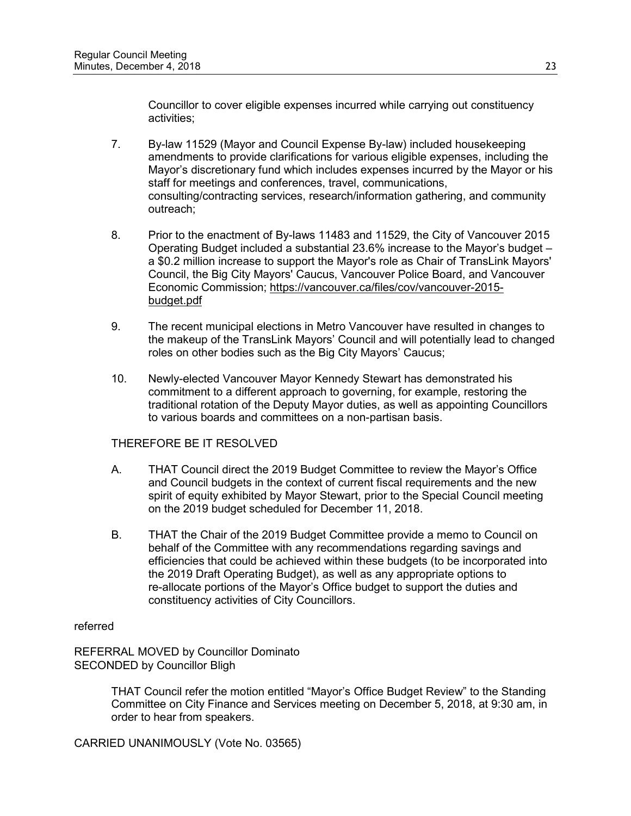Councillor to cover eligible expenses incurred while carrying out constituency activities;

- 7. By-law 11529 (Mayor and Council Expense By-law) included housekeeping amendments to provide clarifications for various eligible expenses, including the Mayor's discretionary fund which includes expenses incurred by the Mayor or his staff for meetings and conferences, travel, communications, consulting/contracting services, research/information gathering, and community outreach;
- 8. Prior to the enactment of By-laws 11483 and 11529, the City of Vancouver 2015 Operating Budget included a substantial 23.6% increase to the Mayor's budget – a \$0.2 million increase to support the Mayor's role as Chair of TransLink Mayors' Council, the Big City Mayors' Caucus, Vancouver Police Board, and Vancouver Economic Commission; [https://vancouver.ca/files/cov/vancouver-2015](https://vancouver.ca/files/cov/vancouver-2015-budget.pdf) [budget.pdf](https://vancouver.ca/files/cov/vancouver-2015-budget.pdf)
- 9. The recent municipal elections in Metro Vancouver have resulted in changes to the makeup of the TransLink Mayors' Council and will potentially lead to changed roles on other bodies such as the Big City Mayors' Caucus;
- 10. Newly-elected Vancouver Mayor Kennedy Stewart has demonstrated his commitment to a different approach to governing, for example, restoring the traditional rotation of the Deputy Mayor duties, as well as appointing Councillors to various boards and committees on a non-partisan basis.

# THEREFORE BE IT RESOLVED

- A. THAT Council direct the 2019 Budget Committee to review the Mayor's Office and Council budgets in the context of current fiscal requirements and the new spirit of equity exhibited by Mayor Stewart, prior to the Special Council meeting on the 2019 budget scheduled for December 11, 2018.
- B. THAT the Chair of the 2019 Budget Committee provide a memo to Council on behalf of the Committee with any recommendations regarding savings and efficiencies that could be achieved within these budgets (to be incorporated into the 2019 Draft Operating Budget), as well as any appropriate options to re-allocate portions of the Mayor's Office budget to support the duties and constituency activities of City Councillors.

# referred

REFERRAL MOVED by Councillor Dominato SECONDED by Councillor Bligh

> THAT Council refer the motion entitled "Mayor's Office Budget Review" to the Standing Committee on City Finance and Services meeting on December 5, 2018, at 9:30 am, in order to hear from speakers.

CARRIED UNANIMOUSLY (Vote No. 03565)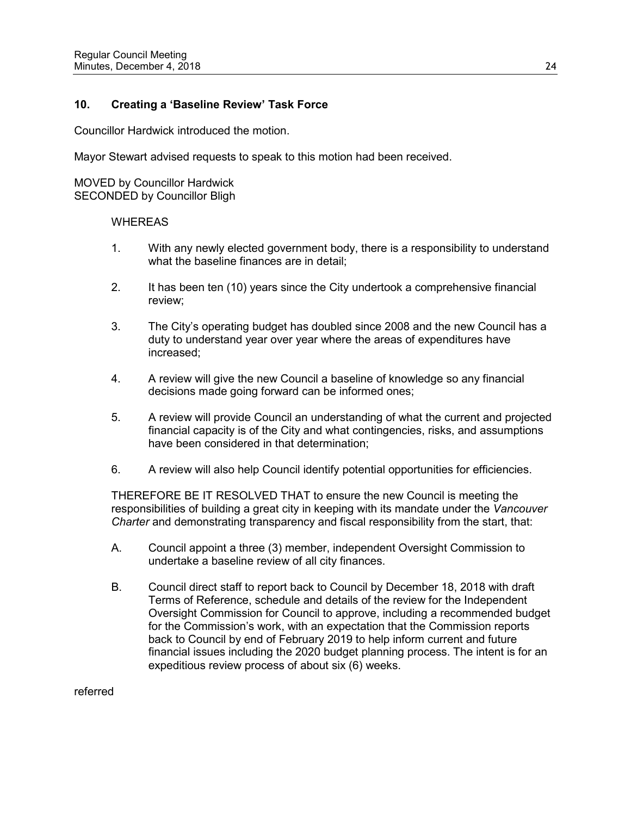### **10. Creating a 'Baseline Review' Task Force**

Councillor Hardwick introduced the motion.

Mayor Stewart advised requests to speak to this motion had been received.

MOVED by Councillor Hardwick SECONDED by Councillor Bligh

#### WHEREAS

- 1. With any newly elected government body, there is a responsibility to understand what the baseline finances are in detail;
- 2. It has been ten (10) years since the City undertook a comprehensive financial review;
- 3. The City's operating budget has doubled since 2008 and the new Council has a duty to understand year over year where the areas of expenditures have increased;
- 4. A review will give the new Council a baseline of knowledge so any financial decisions made going forward can be informed ones;
- 5. A review will provide Council an understanding of what the current and projected financial capacity is of the City and what contingencies, risks, and assumptions have been considered in that determination;
- 6. A review will also help Council identify potential opportunities for efficiencies.

THEREFORE BE IT RESOLVED THAT to ensure the new Council is meeting the responsibilities of building a great city in keeping with its mandate under the *Vancouver Charter* and demonstrating transparency and fiscal responsibility from the start, that:

- A. Council appoint a three (3) member, independent Oversight Commission to undertake a baseline review of all city finances.
- B. Council direct staff to report back to Council by December 18, 2018 with draft Terms of Reference, schedule and details of the review for the Independent Oversight Commission for Council to approve, including a recommended budget for the Commission's work, with an expectation that the Commission reports back to Council by end of February 2019 to help inform current and future financial issues including the 2020 budget planning process. The intent is for an expeditious review process of about six (6) weeks.

referred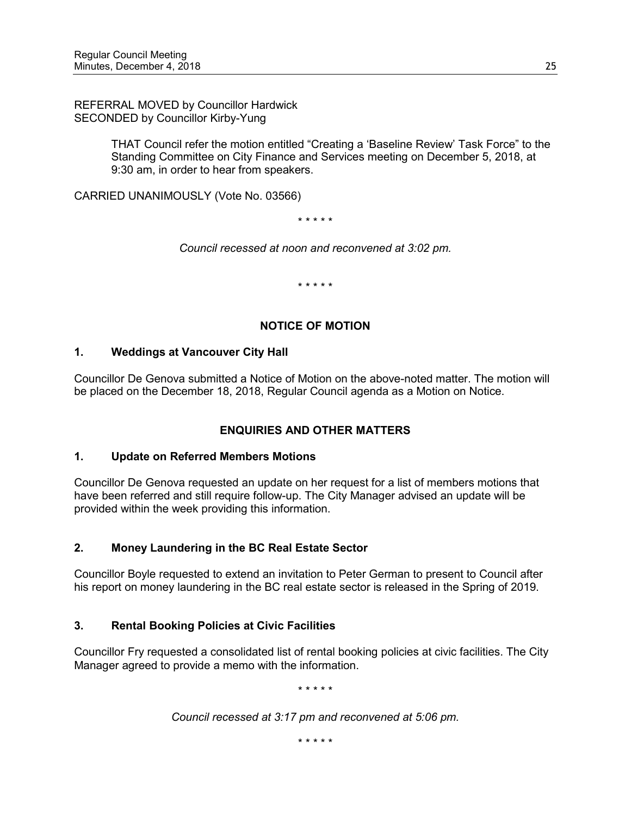REFERRAL MOVED by Councillor Hardwick SECONDED by Councillor Kirby-Yung

> THAT Council refer the motion entitled "Creating a 'Baseline Review' Task Force" to the Standing Committee on City Finance and Services meeting on December 5, 2018, at 9:30 am, in order to hear from speakers.

CARRIED UNANIMOUSLY (Vote No. 03566)

\* \* \* \* \*

*Council recessed at noon and reconvened at 3:02 pm.*

\* \* \* \* \*

# **NOTICE OF MOTION**

# **1. Weddings at Vancouver City Hall**

Councillor De Genova submitted a Notice of Motion on the above-noted matter. The motion will be placed on the December 18, 2018, Regular Council agenda as a Motion on Notice.

# **ENQUIRIES AND OTHER MATTERS**

# **1. Update on Referred Members Motions**

Councillor De Genova requested an update on her request for a list of members motions that have been referred and still require follow-up. The City Manager advised an update will be provided within the week providing this information.

# **2. Money Laundering in the BC Real Estate Sector**

Councillor Boyle requested to extend an invitation to Peter German to present to Council after his report on money laundering in the BC real estate sector is released in the Spring of 2019.

# **3. Rental Booking Policies at Civic Facilities**

Councillor Fry requested a consolidated list of rental booking policies at civic facilities. The City Manager agreed to provide a memo with the information.

\* \* \* \* \*

*Council recessed at 3:17 pm and reconvened at 5:06 pm.*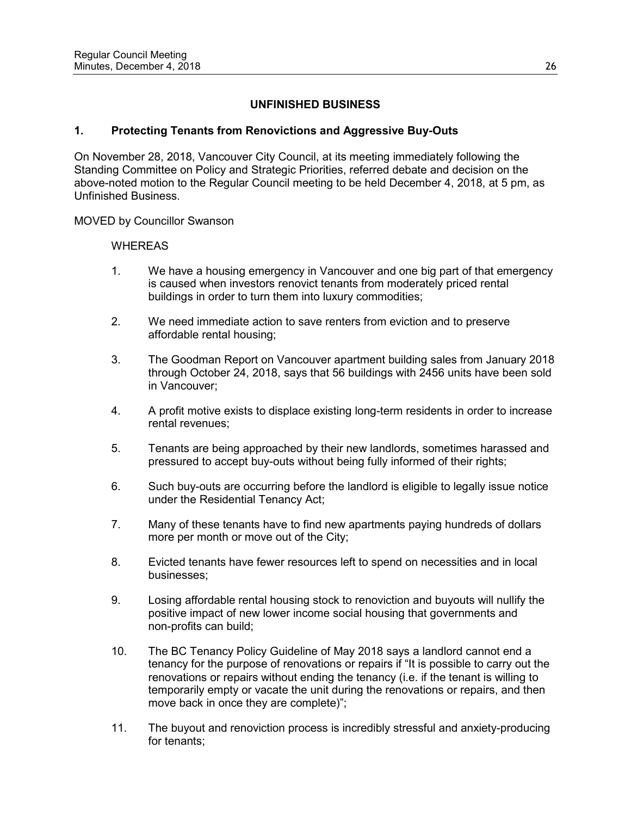# **UNFINISHED BUSINESS**

# **1. Protecting Tenants from Renovictions and Aggressive Buy-Outs**

On November 28, 2018, Vancouver City Council, at its meeting immediately following the Standing Committee on Policy and Strategic Priorities, referred debate and decision on the above-noted motion to the Regular Council meeting to be held December 4, 2018, at 5 pm, as Unfinished Business.

MOVED by Councillor Swanson

- 1. We have a housing emergency in Vancouver and one big part of that emergency is caused when investors renovict tenants from moderately priced rental buildings in order to turn them into luxury commodities;
- 2. We need immediate action to save renters from eviction and to preserve affordable rental housing;
- 3. The Goodman Report on Vancouver apartment building sales from January 2018 through October 24, 2018, says that 56 buildings with 2456 units have been sold in Vancouver;
- 4. A profit motive exists to displace existing long-term residents in order to increase rental revenues;
- 5. Tenants are being approached by their new landlords, sometimes harassed and pressured to accept buy-outs without being fully informed of their rights;
- 6. Such buy-outs are occurring before the landlord is eligible to legally issue notice under the Residential Tenancy Act;
- 7. Many of these tenants have to find new apartments paying hundreds of dollars more per month or move out of the City;
- 8. Evicted tenants have fewer resources left to spend on necessities and in local businesses;
- 9. Losing affordable rental housing stock to renoviction and buyouts will nullify the positive impact of new lower income social housing that governments and non-profits can build;
- 10. The BC Tenancy Policy Guideline of May 2018 says a landlord cannot end a tenancy for the purpose of renovations or repairs if "It is possible to carry out the renovations or repairs without ending the tenancy (i.e. if the tenant is willing to temporarily empty or vacate the unit during the renovations or repairs, and then move back in once they are complete)";
- 11. The buyout and renoviction process is incredibly stressful and anxiety-producing for tenants;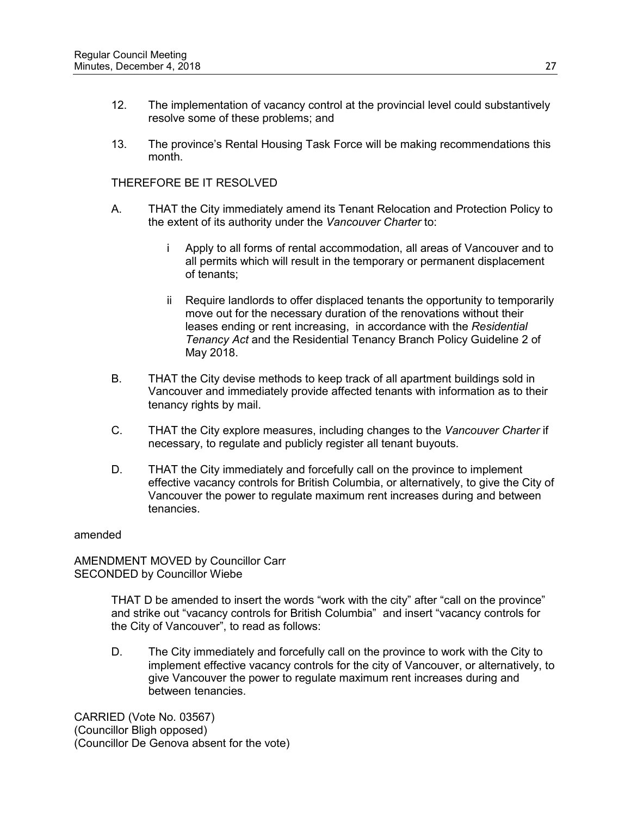- 12. The implementation of vacancy control at the provincial level could substantively resolve some of these problems; and
- 13. The province's Rental Housing Task Force will be making recommendations this month.

- A. THAT the City immediately amend its Tenant Relocation and Protection Policy to the extent of its authority under the *Vancouver Charter* to:
	- i Apply to all forms of rental accommodation, all areas of Vancouver and to all permits which will result in the temporary or permanent displacement of tenants;
	- ii Require landlords to offer displaced tenants the opportunity to temporarily move out for the necessary duration of the renovations without their leases ending or rent increasing, in accordance with the *Residential Tenancy Act* and the Residential Tenancy Branch Policy Guideline 2 of May 2018.
- B. THAT the City devise methods to keep track of all apartment buildings sold in Vancouver and immediately provide affected tenants with information as to their tenancy rights by mail.
- C. THAT the City explore measures, including changes to the *Vancouver Charter* if necessary, to regulate and publicly register all tenant buyouts.
- D. THAT the City immediately and forcefully call on the province to implement effective vacancy controls for British Columbia, or alternatively, to give the City of Vancouver the power to regulate maximum rent increases during and between tenancies.

#### amended

AMENDMENT MOVED by Councillor Carr SECONDED by Councillor Wiebe

> THAT D be amended to insert the words "work with the city" after "call on the province" and strike out "vacancy controls for British Columbia" and insert "vacancy controls for the City of Vancouver", to read as follows:

D. The City immediately and forcefully call on the province to work with the City to implement effective vacancy controls for the city of Vancouver, or alternatively, to give Vancouver the power to regulate maximum rent increases during and between tenancies.

CARRIED (Vote No. 03567) (Councillor Bligh opposed) (Councillor De Genova absent for the vote)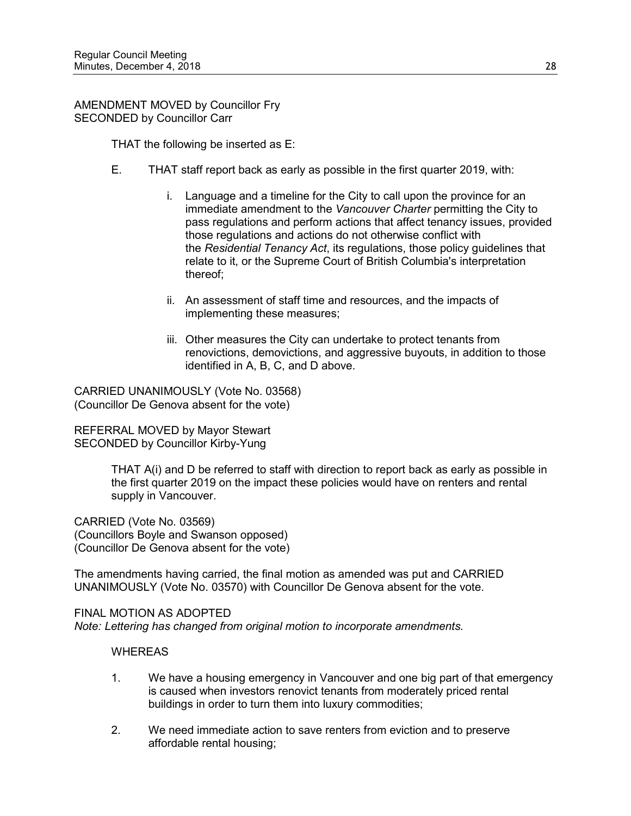AMENDMENT MOVED by Councillor Fry SECONDED by Councillor Carr

THAT the following be inserted as E:

- E. THAT staff report back as early as possible in the first quarter 2019, with:
	- i. Language and a timeline for the City to call upon the province for an immediate amendment to the *Vancouver Charter* permitting the City to pass regulations and perform actions that affect tenancy issues, provided those regulations and actions do not otherwise conflict with the *Residential Tenancy Act*, its regulations, those policy guidelines that relate to it, or the Supreme Court of British Columbia's interpretation thereof;
	- ii. An assessment of staff time and resources, and the impacts of implementing these measures;
	- iii. Other measures the City can undertake to protect tenants from renovictions, demovictions, and aggressive buyouts, in addition to those identified in A, B, C, and D above.

CARRIED UNANIMOUSLY (Vote No. 03568) (Councillor De Genova absent for the vote)

REFERRAL MOVED by Mayor Stewart SECONDED by Councillor Kirby-Yung

> THAT A(i) and D be referred to staff with direction to report back as early as possible in the first quarter 2019 on the impact these policies would have on renters and rental supply in Vancouver.

CARRIED (Vote No. 03569) (Councillors Boyle and Swanson opposed) (Councillor De Genova absent for the vote)

The amendments having carried, the final motion as amended was put and CARRIED UNANIMOUSLY (Vote No. 03570) with Councillor De Genova absent for the vote.

FINAL MOTION AS ADOPTED *Note: Lettering has changed from original motion to incorporate amendments.*

- 1. We have a housing emergency in Vancouver and one big part of that emergency is caused when investors renovict tenants from moderately priced rental buildings in order to turn them into luxury commodities;
- 2. We need immediate action to save renters from eviction and to preserve affordable rental housing;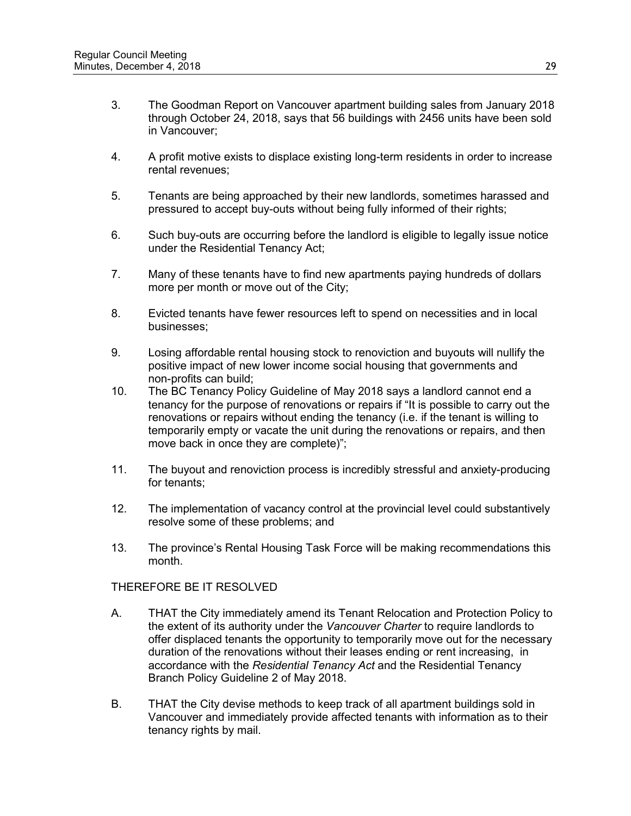- 3. The Goodman Report on Vancouver apartment building sales from January 2018 through October 24, 2018, says that 56 buildings with 2456 units have been sold in Vancouver;
- 4. A profit motive exists to displace existing long-term residents in order to increase rental revenues;
- 5. Tenants are being approached by their new landlords, sometimes harassed and pressured to accept buy-outs without being fully informed of their rights;
- 6. Such buy-outs are occurring before the landlord is eligible to legally issue notice under the Residential Tenancy Act;
- 7. Many of these tenants have to find new apartments paying hundreds of dollars more per month or move out of the City;
- 8. Evicted tenants have fewer resources left to spend on necessities and in local businesses;
- 9. Losing affordable rental housing stock to renoviction and buyouts will nullify the positive impact of new lower income social housing that governments and non-profits can build;
- 10. The BC Tenancy Policy Guideline of May 2018 says a landlord cannot end a tenancy for the purpose of renovations or repairs if "It is possible to carry out the renovations or repairs without ending the tenancy (i.e. if the tenant is willing to temporarily empty or vacate the unit during the renovations or repairs, and then move back in once they are complete)";
- 11. The buyout and renoviction process is incredibly stressful and anxiety-producing for tenants;
- 12. The implementation of vacancy control at the provincial level could substantively resolve some of these problems; and
- 13. The province's Rental Housing Task Force will be making recommendations this month.

- A. THAT the City immediately amend its Tenant Relocation and Protection Policy to the extent of its authority under the *Vancouver Charter* to require landlords to offer displaced tenants the opportunity to temporarily move out for the necessary duration of the renovations without their leases ending or rent increasing, in accordance with the *Residential Tenancy Act* and the Residential Tenancy Branch Policy Guideline 2 of May 2018.
- B. THAT the City devise methods to keep track of all apartment buildings sold in Vancouver and immediately provide affected tenants with information as to their tenancy rights by mail.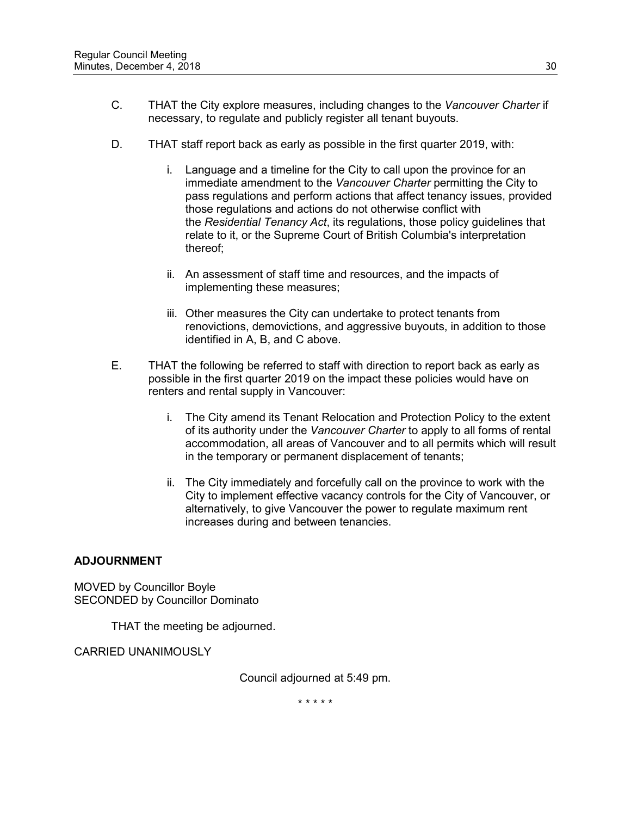- C. THAT the City explore measures, including changes to the *Vancouver Charter* if necessary, to regulate and publicly register all tenant buyouts.
- D. THAT staff report back as early as possible in the first quarter 2019, with:
	- i. Language and a timeline for the City to call upon the province for an immediate amendment to the *Vancouver Charter* permitting the City to pass regulations and perform actions that affect tenancy issues, provided those regulations and actions do not otherwise conflict with the *Residential Tenancy Act*, its regulations, those policy guidelines that relate to it, or the Supreme Court of British Columbia's interpretation thereof;
	- ii. An assessment of staff time and resources, and the impacts of implementing these measures;
	- iii. Other measures the City can undertake to protect tenants from renovictions, demovictions, and aggressive buyouts, in addition to those identified in A, B, and C above.
- E. THAT the following be referred to staff with direction to report back as early as possible in the first quarter 2019 on the impact these policies would have on renters and rental supply in Vancouver:
	- i. The City amend its Tenant Relocation and Protection Policy to the extent of its authority under the *Vancouver Charter* to apply to all forms of rental accommodation, all areas of Vancouver and to all permits which will result in the temporary or permanent displacement of tenants;
	- ii. The City immediately and forcefully call on the province to work with the City to implement effective vacancy controls for the City of Vancouver, or alternatively, to give Vancouver the power to regulate maximum rent increases during and between tenancies.

# **ADJOURNMENT**

MOVED by Councillor Boyle SECONDED by Councillor Dominato

THAT the meeting be adjourned.

CARRIED UNANIMOUSLY

Council adjourned at 5:49 pm.

\* \* \* \* \*